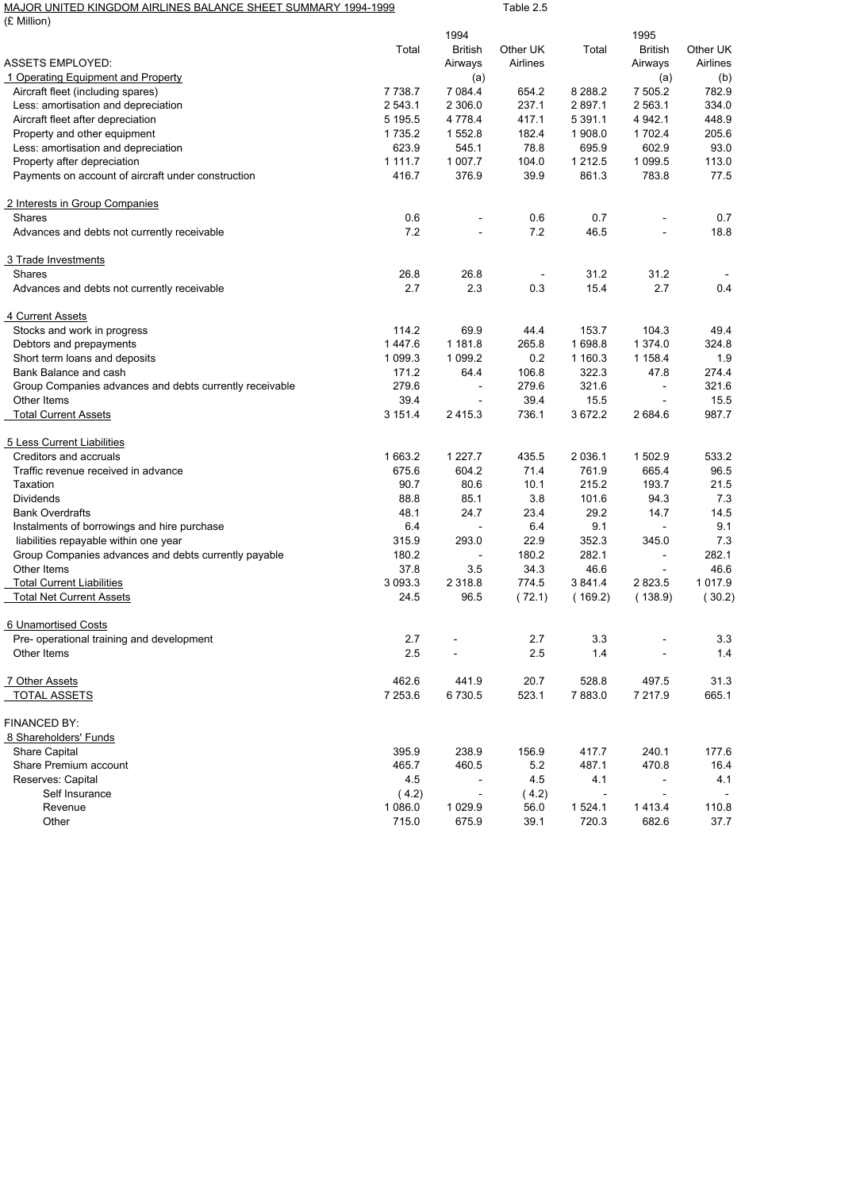| MAJOR UNITED KINGDOM AIRLINES BALANCE SHEET SUMMARY 1994-1999<br>(£ Million) |             |                          | Table 2.5 |                |                          |            |
|------------------------------------------------------------------------------|-------------|--------------------------|-----------|----------------|--------------------------|------------|
|                                                                              |             | 1994                     |           |                | 1995                     |            |
|                                                                              | Total       | <b>British</b>           | Other UK  | Total          | <b>British</b>           | Other UK   |
| <b>ASSETS EMPLOYED:</b>                                                      |             | Airways                  | Airlines  |                | Airways                  | Airlines   |
| 1 Operating Equipment and Property                                           |             | (a)                      |           |                | (a)                      | (b)        |
| Aircraft fleet (including spares)                                            | 7 7 38.7    | 7 0 8 4.4                | 654.2     | 8 2 8 8.2      | 7 505.2                  | 782.9      |
| Less: amortisation and depreciation                                          | 2 543.1     | 2 306.0                  | 237.1     | 2 897.1        | 2 563.1                  | 334.0      |
| Aircraft fleet after depreciation                                            | 5 195.5     | 4 7 7 8 .4               | 417.1     | 5 3 9 1 . 1    | 4 9 4 2 . 1              | 448.9      |
| Property and other equipment                                                 | 1 7 3 5.2   | 1 552.8                  | 182.4     | 1 908.0        | 1 702.4                  | 205.6      |
| Less: amortisation and depreciation                                          | 623.9       | 545.1                    | 78.8      | 695.9          | 602.9                    | 93.0       |
| Property after depreciation                                                  | 1 1 1 1 . 7 | 1 007.7                  | 104.0     | 1 2 1 2.5      | 1 0 9 9.5                | 113.0      |
| Payments on account of aircraft under construction                           | 416.7       | 376.9                    | 39.9      | 861.3          | 783.8                    | 77.5       |
| 2 Interests in Group Companies                                               |             |                          |           |                |                          |            |
| Shares                                                                       | 0.6         |                          | 0.6       | 0.7            |                          | 0.7        |
| Advances and debts not currently receivable                                  | 7.2         |                          | 7.2       | 46.5           | $\bar{\phantom{a}}$      | 18.8       |
| 3 Trade Investments                                                          |             |                          |           |                |                          |            |
| <b>Shares</b>                                                                | 26.8        | 26.8                     |           | 31.2           | 31.2                     |            |
| Advances and debts not currently receivable                                  | 2.7         | 2.3                      | 0.3       | 15.4           | 2.7                      | 0.4        |
| 4 Current Assets                                                             |             |                          |           |                |                          |            |
| Stocks and work in progress                                                  | 114.2       | 69.9                     | 44.4      | 153.7          | 104.3                    | 49.4       |
| Debtors and prepayments                                                      | 1447.6      | 1 181.8                  | 265.8     | 1 698.8        | 1 374.0                  | 324.8      |
| Short term loans and deposits                                                | 1 099.3     | 1 0 9 9.2                | 0.2       | 1 160.3        | 1 1 58.4                 | 1.9        |
| Bank Balance and cash                                                        | 171.2       | 64.4                     | 106.8     | 322.3          | 47.8                     | 274.4      |
| Group Companies advances and debts currently receivable                      | 279.6       | $\overline{\phantom{a}}$ | 279.6     | 321.6          | $\blacksquare$           | 321.6      |
| Other Items                                                                  | 39.4        | $\overline{a}$           | 39.4      | 15.5           | $\blacksquare$           | 15.5       |
| <b>Total Current Assets</b>                                                  | 3 151.4     | 2415.3                   | 736.1     | 3 672.2        | 2 684.6                  | 987.7      |
| 5 Less Current Liabilities                                                   |             |                          |           |                |                          |            |
| Creditors and accruals                                                       | 1 663.2     | 1 2 2 7 . 7              | 435.5     | 2 0 3 6.1      | 1 502.9                  | 533.2      |
| Traffic revenue received in advance                                          | 675.6       | 604.2                    | 71.4      | 761.9          | 665.4                    | 96.5       |
| Taxation                                                                     | 90.7        | 80.6                     | 10.1      | 215.2          | 193.7                    | 21.5       |
| Dividends                                                                    | 88.8        | 85.1                     | 3.8       | 101.6          | 94.3                     | 7.3        |
| <b>Bank Overdrafts</b>                                                       | 48.1        | 24.7                     | 23.4      | 29.2           | 14.7                     | 14.5       |
| Instalments of borrowings and hire purchase                                  | 6.4         | $\overline{\phantom{a}}$ | 6.4       | 9.1            | $\overline{\phantom{a}}$ | 9.1        |
| liabilities repayable within one year                                        | 315.9       | 293.0                    | 22.9      | 352.3          | 345.0                    | 7.3        |
| Group Companies advances and debts currently payable                         | 180.2       |                          | 180.2     | 282.1          | $\blacksquare$           | 282.1      |
| Other Items                                                                  | 37.8        | 3.5                      | 34.3      | 46.6           | $\overline{\phantom{a}}$ | 46.6       |
| <b>Total Current Liabilities</b>                                             | 3 093.3     | 2 3 1 8.8                | 774.5     | 3841.4         | 2 8 2 3 .5               | 1 0 1 7 .9 |
| <b>Total Net Current Assets</b>                                              | 24.5        | 96.5                     | (72.1)    | (169.2)        | (138.9)                  | (30.2)     |
| 6 Unamortised Costs                                                          |             |                          |           |                |                          |            |
| Pre- operational training and development                                    | 2.7         |                          | 2.7       | 3.3            |                          | 3.3        |
| Other Items                                                                  | 2.5         |                          | 2.5       | 1.4            |                          | 1.4        |
| 7 Other Assets                                                               | 462.6       | 441.9                    | 20.7      | 528.8          | 497.5                    | 31.3       |
| <b>TOTAL ASSETS</b>                                                          | 7 253.6     | 6730.5                   | 523.1     | 7883.0         | 7 217.9                  | 665.1      |
| FINANCED BY:                                                                 |             |                          |           |                |                          |            |
| 8 Shareholders' Funds                                                        |             |                          |           |                |                          |            |
| Share Capital                                                                | 395.9       | 238.9                    | 156.9     | 417.7          | 240.1                    | 177.6      |
| Share Premium account                                                        | 465.7       | 460.5                    | 5.2       | 487.1          | 470.8                    | 16.4       |
| Reserves: Capital                                                            | 4.5         |                          | 4.5       | 4.1            | $\blacksquare$           | 4.1        |
| Self Insurance                                                               | (4.2)       |                          | (4.2)     | $\blacksquare$ | $\overline{\phantom{a}}$ |            |
| Revenue                                                                      | 1 0 8 6.0   | 1 0 2 9.9                | 56.0      | 1524.1         | 1413.4                   | 110.8      |
| Other                                                                        | 715.0       | 675.9                    | 39.1      | 720.3          | 682.6                    | 37.7       |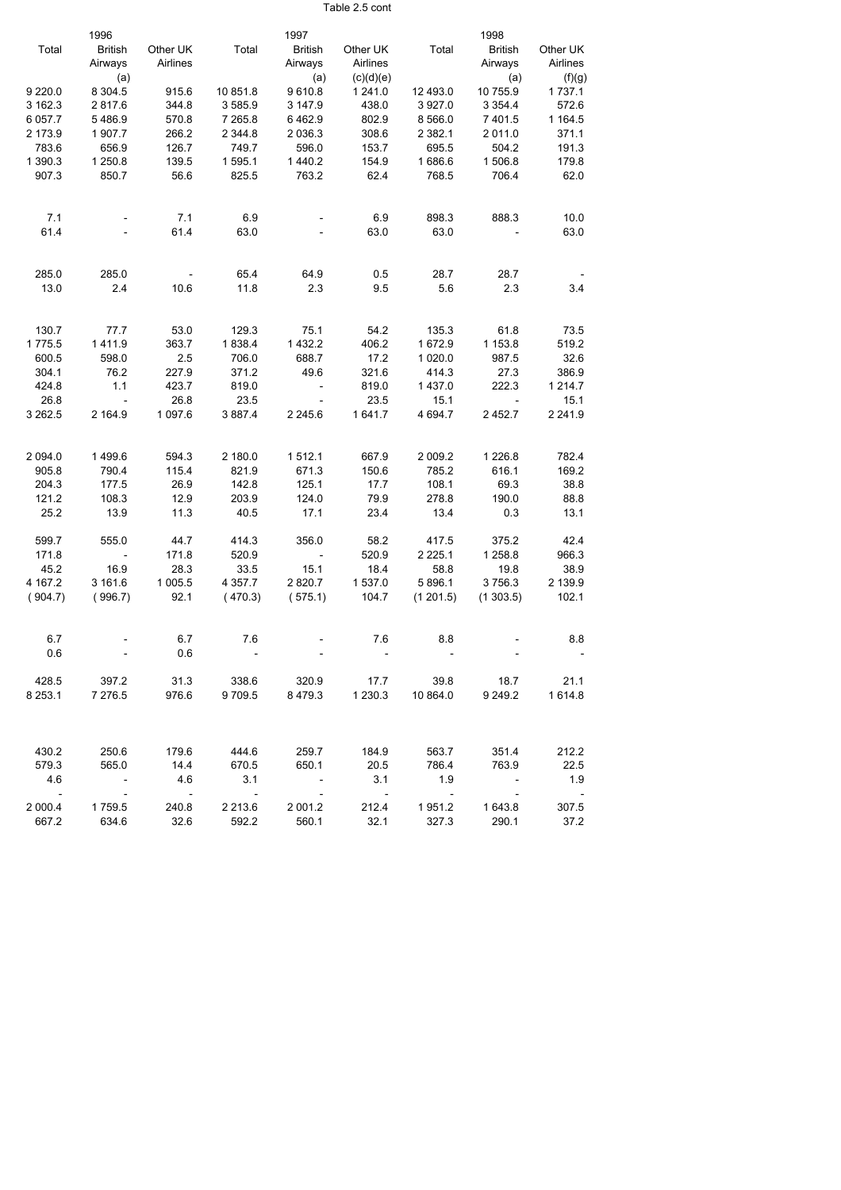Table 2.5 cont

|            | 1996                     |            |             | 1997                     |             |             | 1998           |            |
|------------|--------------------------|------------|-------------|--------------------------|-------------|-------------|----------------|------------|
| Total      | <b>British</b>           | Other UK   | Total       | <b>British</b>           | Other UK    | Total       | <b>British</b> | Other UK   |
|            | Airways                  | Airlines   |             | Airways                  | Airlines    |             | Airways        | Airlines   |
|            | (a)                      |            |             | (a)                      | (c)(d)(e)   |             | (a)            | (f)(g)     |
| 9 2 2 0.0  | 8 3 0 4 .5               | 915.6      | 10 851.8    | 9610.8                   | 1 241.0     | 12 493.0    | 10 755.9       | 1737.1     |
| 3 162.3    | 2817.6                   | 344.8      | 3585.9      | 3 147.9                  | 438.0       | 3927.0      | 3 3 5 4 . 4    | 572.6      |
| 6 057.7    | 5486.9                   | 570.8      | 7 265.8     | 6462.9                   | 802.9       | 8 5 6 6.0   | 7 401.5        | 1 164.5    |
| 2 173.9    | 1 907.7                  | 266.2      | 2 344.8     | 2 0 3 6 . 3              | 308.6       | 2 3 8 2 . 1 | 2 011.0        | 371.1      |
| 783.6      | 656.9                    | 126.7      | 749.7       | 596.0                    | 153.7       | 695.5       | 504.2          | 191.3      |
| 1 390.3    | 1 250.8                  | 139.5      | 1 595.1     | 1 440.2                  | 154.9       | 1686.6      | 1 506.8        | 179.8      |
| 907.3      | 850.7                    | 56.6       | 825.5       | 763.2                    | 62.4        | 768.5       | 706.4          | 62.0       |
|            |                          |            |             |                          |             |             |                |            |
| 7.1        |                          | 7.1        | 6.9         |                          | 6.9         | 898.3       | 888.3          | 10.0       |
| 61.4       |                          | 61.4       | 63.0        |                          | 63.0        | 63.0        |                | 63.0       |
| 285.0      | 285.0                    |            | 65.4        | 64.9                     | 0.5         | 28.7        | 28.7           |            |
| 13.0       | 2.4                      | 10.6       | 11.8        | 2.3                      | 9.5         | 5.6         | 2.3            | 3.4        |
|            |                          |            |             |                          |             |             |                |            |
| 130.7      | 77.7                     | 53.0       | 129.3       | 75.1                     | 54.2        | 135.3       | 61.8           | 73.5       |
| 1775.5     | 1411.9                   | 363.7      | 1838.4      | 1 4 3 2.2                | 406.2       | 1672.9      | 1 153.8        | 519.2      |
| 600.5      | 598.0                    | 2.5        | 706.0       | 688.7                    | 17.2        | 1 0 2 0 .0  | 987.5          | 32.6       |
| 304.1      | 76.2                     | 227.9      | 371.2       | 49.6                     | 321.6       | 414.3       | 27.3           | 386.9      |
| 424.8      | 1.1                      | 423.7      | 819.0       | $\overline{\phantom{a}}$ | 819.0       | 1437.0      | 222.3          | 1 2 1 4.7  |
| 26.8       | $\overline{\phantom{a}}$ | 26.8       | 23.5        |                          | 23.5        | 15.1        |                | 15.1       |
| 3 2 6 2.5  | 2 164.9                  | 1 097.6    | 3887.4      | 2 2 4 5 . 6              | 1641.7      | 4 6 9 4.7   | 2 4 5 2.7      | 2 2 4 1 .9 |
| 2 0 9 4 .0 | 1499.6                   | 594.3      | 2 180.0     | 1512.1                   | 667.9       | 2 009.2     | 1 2 2 6 . 8    | 782.4      |
| 905.8      | 790.4                    | 115.4      | 821.9       | 671.3                    | 150.6       | 785.2       | 616.1          | 169.2      |
| 204.3      | 177.5                    | 26.9       | 142.8       | 125.1                    | 17.7        | 108.1       | 69.3           | 38.8       |
| 121.2      | 108.3                    | 12.9       | 203.9       | 124.0                    | 79.9        | 278.8       | 190.0          | 88.8       |
| 25.2       | 13.9                     | 11.3       | 40.5        | 17.1                     | 23.4        | 13.4        | 0.3            | 13.1       |
| 599.7      | 555.0                    | 44.7       | 414.3       | 356.0                    | 58.2        | 417.5       | 375.2          | 42.4       |
| 171.8      |                          | 171.8      | 520.9       |                          | 520.9       | 2 2 2 5.1   | 1 258.8        | 966.3      |
| 45.2       | 16.9                     | 28.3       | 33.5        | 15.1                     | 18.4        | 58.8        | 19.8           | 38.9       |
| 4 167.2    | 3 161.6                  | 1 005.5    | 4 357.7     | 2820.7                   | 1 537.0     | 5 896.1     | 3756.3         | 2 139.9    |
| (904.7)    | (996.7)                  | 92.1       | (470.3)     | (575.1)                  | 104.7       | (1201.5)    | (1303.5)       | 102.1      |
| 6.7        |                          | 6.7        | 7.6         |                          | 7.6         | 8.8         |                | 8.8        |
| 0.6        |                          | 0.6        |             |                          |             |             |                |            |
| 428.5      | 397.2                    | 31.3       | 338.6       | 320.9                    | 17.7        | 39.8        | 18.7           | 21.1       |
| 8 2 5 3.1  | 7 276.5                  | 976.6      | 9709.5      | 8479.3                   | 1 2 3 0 . 3 | 10 864.0    | 9 249.2        | 1614.8     |
| 430.2      | 250.6                    | 179.6      | 444.6       | 259.7                    | 184.9       | 563.7       | 351.4          | 212.2      |
| 579.3      | 565.0                    | 14.4       | 670.5       | 650.1                    | 20.5        | 786.4       | 763.9          | 22.5       |
| 4.6        |                          | 4.6        | 3.1         |                          | 3.1         | 1.9         |                | 1.9        |
| $\sim 100$ | $\sim$ $-$               | $\sim$ $-$ | $\sim$ $-$  | $\sim$ $-$               | $\sim$ $-$  | $\sim$ $-$  | $\blacksquare$ |            |
| 2 000.4    | 1759.5                   | 240.8      | 2 2 1 3 . 6 | 2 001.2                  | 212.4       | 1951.2      | 1 643.8        | 307.5      |
| 667.2      | 634.6                    | 32.6       | 592.2       | 560.1                    | 32.1        | 327.3       | 290.1          | 37.2       |